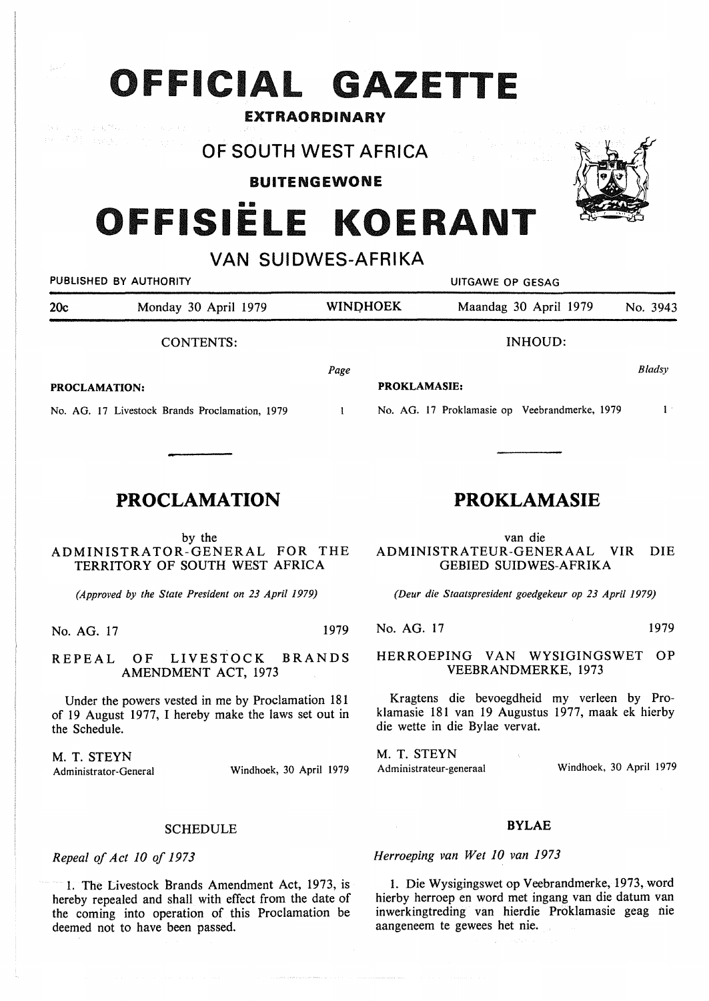# **OFFICIAL GAZETTE**

### EXTRAORDINARY

 $\gamma_2$  ,  $\beta_1$  then  $\gamma_1$  ,  $\gamma_2$  ,  $\gamma_3$ 

## **OF SOUTH WEST AFRICA**

BUITENGEWONE

# OFFISIËLE KOERANT

## **VAN SUIDWES-AFRIKA**

| PUBLISHED BY AUTHORITY                         |      | UITGAWE OP GESAG |                       |                                                                      |  |
|------------------------------------------------|------|------------------|-----------------------|----------------------------------------------------------------------|--|
| 20c<br>Monday 30 April 1979                    |      |                  | Maandag 30 April 1979 | No. 3943                                                             |  |
| CONTENTS:                                      |      |                  | INHOUD:               |                                                                      |  |
| <b>PROCLAMATION:</b>                           | Page |                  |                       | Bladsy                                                               |  |
| No. AG. 17 Livestock Brands Proclamation, 1979 |      |                  |                       |                                                                      |  |
|                                                |      |                  | <b>WINDHOEK</b>       | <b>PROKLAMASIE:</b><br>No. AG. 17 Proklamasie op Veebrandmerke, 1979 |  |

## **PROCLAMATION**

#### by the **ADMINISTRATOR-GENERAL FOR** THE **TERRITORY OF SOUTH WEST AFRICA**

*(Approved by the State President on 23 April 1979)* 

No. AG. 17 1979

REPEAL OF LIVESTOCK BRANDS AMENDMENT ACT, 1973

Under the powers vested in me by Proclamation 181 of 19 August 1977, I hereby make the laws set out in the Schedule.

M. T. STEYN

Administrator-General Windhoek, 30 April 1979

#### **SCHEDULE**

*Repeal of Act* JO *of 1973* 

1. The Livestock Brands Amendment Act, 1973, is hereby repealed and shall with effect from the date of the coming into operation of this Proclamation be deemed not to have been passed.

## **PROKLAMASIE**

van die ADMINISTRATEUR-GENERAAL VIR DIE GEBIED SUIDWES-AFRIKA

*(Deur die Staatspresident goedgekeur op 23 April 1979)* 

No. AG. 17 1979

#### **HERROEPING VAN WYSIGINGSWET OP VEEBRANDMERKE,** 1973

Kragtens die bevoegdheid my verleen by Proklamasie 181 van 19 Augustus 1977, maak ek hierby die wette in die Bylae vervat.

**M. T. STEYN**  Administrateur-generaal Windhoek, 30 April 1979

### **BYLAE**

*Herroeping van Wet 10 van 1973* 

1. Die Wysigingswet op Veebrandmerke, 1973, word hierby herroep en word met ingang van die datum van inwerkingtreding van hierdie Proklamasie geag nie aangeneem te gewees het nie.